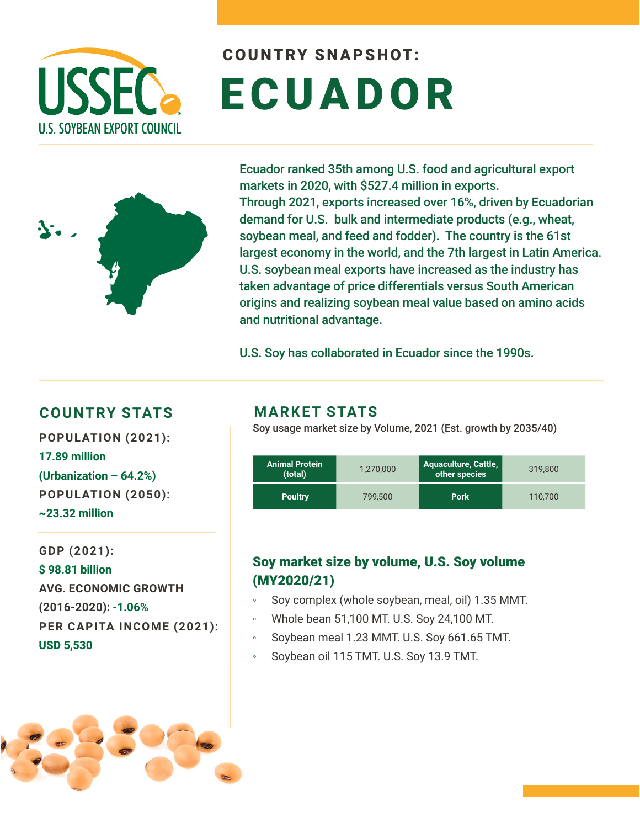

# COUNTRY SNAPSHOT: ECUADOR



Ecuador ranked 35th among U.S. food and agricultural export markets in 2020, with \$527.4 million in exports. Through 2021, exports increased over 16%, driven by Ecuadorian demand for U.S. bulk and intermediate products (e.g., wheat, soybean meal, and feed and fodder). The country is the 61st largest economy in the world, and the 7th largest in Latin America. U.S. soybean meal exports have increased as the industry has taken advantage of price differentials versus South American origins and realizing soybean meal value based on amino acids and nutritional advantage.

U.S. Soy has collaborated in Ecuador since the 1990s.

#### **COUNTRY STATS MARKET STATS**

**POPULATION (2021): 17.89 million (Urbanization – 64.2%) POPULATION (2050): ~23.32 million**

**GDP (2021): \$ 98.81 billion AVG. ECONOMIC GROWTH (2016-2020): -1.06% PER CAPITA INCOME (2021): USD 5,530**



Soy usage market size by Volume, 2021 (Est. growth by 2035/40)

| <b>Animal Protein</b><br>(total) | 1,270,000 | <b>Aquaculture, Cattle,</b><br>other species | 319,800 |
|----------------------------------|-----------|----------------------------------------------|---------|
| <b>Poultry</b>                   | 799.500   | <b>Pork</b>                                  | 110.700 |

### Soy market size by volume, U.S. Soy volume (MY2020/21)

- Soy complex (whole soybean, meal, oil) 1.35 MMT.
- Whole bean 51,100 MT. U.S. Soy 24,100 MT.
- Soybean meal 1.23 MMT. U.S. Soy 661.65 TMT.
- Soybean oil 115 TMT. U.S. Soy 13.9 TMT.